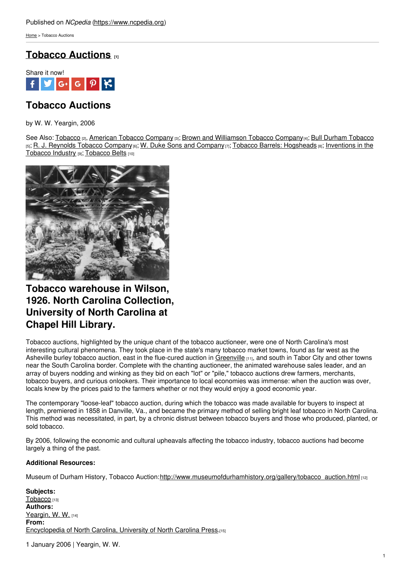[Home](https://www.ncpedia.org/) > Tobacco Auctions

## **Tobacco [Auctions](https://www.ncpedia.org/tobacco-auctions) [1]**



# **Tobacco Auctions**

by W. W. Yeargin, 2006

See Also: [Tobacco](https://www.ncpedia.org/bull-durham-tobacco) [2], [American](https://www.ncpedia.org/american-tobacco-company) Tobacco Company [3]; Brown and [Williamson](https://www.ncpedia.org/brown-williamson-tobacco-company) Tobacco Company[4]; Bull Durham Tobacco [5]; R. J. [Reynolds](https://www.ncpedia.org/r-j-reynolds-tobacco-company) Tobacco [Company](https://www.ncpedia.org/w-duke-sons-and-company)[6]; W. Duke Sons and Company[7]; Tobacco Barrels: [Hogsheads](https://www.ncpedia.org/tobacco/inventions) [8]; Inventions in the [Tobacco](https://www.ncpedia.org/tobacco-belts) Industry [9]; Tobacco Belts [10]



## **Tobacco warehouse in Wilson, 1926. North Carolina Collection, University of North Carolina at Chapel Hill Library.**

Tobacco auctions, highlighted by the unique chant of the tobacco auctioneer, were one of North Carolina's most interesting cultural phenomena. They took place in the state's many tobacco market towns, found as far west as the Asheville burley tobacco auction, east in the flue-cured auction in [Greenville](https://www.ncpedia.org/greenville) [11], and south in Tabor City and other towns near the South Carolina border. Complete with the chanting auctioneer, the animated warehouse sales leader, and an array of buyers nodding and winking as they bid on each "lot" or "pile," tobacco auctions drew farmers, merchants, tobacco buyers, and curious onlookers. Their importance to local economies was immense: when the auction was over, locals knew by the prices paid to the farmers whether or not they would enjoy a good economic year.

The contemporary "loose-leaf" tobacco auction, during which the tobacco was made available for buyers to inspect at length, premiered in 1858 in Danville, Va., and became the primary method of selling bright leaf tobacco in North Carolina. This method was necessitated, in part, by a chronic distrust between tobacco buyers and those who produced, planted, or sold tobacco.

By 2006, following the economic and cultural upheavals affecting the tobacco industry, tobacco auctions had become largely a thing of the past.

### **Additional Resources:**

Museum of Durham History, Tobacco Auction:[http://www.museumofdurhamhistory.org/gallery/tobacco\\_auction.html](http://www.museumofdurhamhistory.org/gallery/tobacco_auction.html) [12]

**Subjects:** [Tobacco](https://www.ncpedia.org/category/subjects/tobacco) [13] **Authors:** [Yeargin,](https://www.ncpedia.org/category/authors/yeargin-w-w) W. W. [14] **From:** [Encyclopedia](https://www.ncpedia.org/category/entry-source/encyclopedia-) of North Carolina, University of North Carolina Press.[15]

1 January 2006 | Yeargin, W. W.